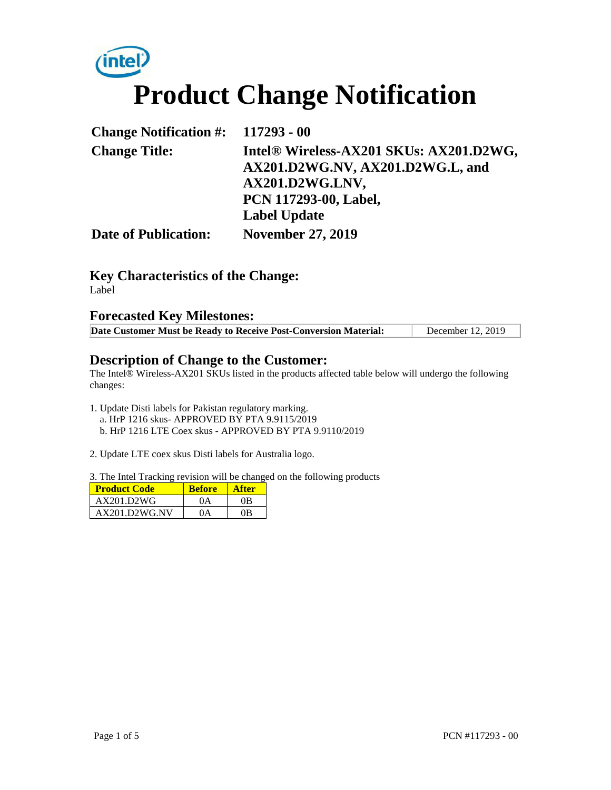# **intel Product Change Notification**

| Change Notification $\#$ : 117293 - 00 |                                                                                                                         |
|----------------------------------------|-------------------------------------------------------------------------------------------------------------------------|
| <b>Change Title:</b>                   | Intel® Wireless-AX201 SKUs: AX201.D2WG,<br>AX201.D2WG.NV, AX201.D2WG.L, and<br>AX201.D2WG.LNV,<br>PCN 117293-00, Label, |
|                                        | <b>Label Update</b>                                                                                                     |
| <b>Date of Publication:</b>            | <b>November 27, 2019</b>                                                                                                |

### **Key Characteristics of the Change:**

Label

#### **Forecasted Key Milestones:**

| Date Customer Must be Ready to Receive Post-Conversion Material: | December 12, 2019 |
|------------------------------------------------------------------|-------------------|

#### **Description of Change to the Customer:**

The Intel® Wireless-AX201 SKUs listed in the products affected table below will undergo the following changes:

- 1. Update Disti labels for Pakistan regulatory marking. a. HrP 1216 skus- APPROVED BY PTA 9.9115/2019 b. HrP 1216 LTE Coex skus - APPROVED BY PTA 9.9110/2019
- 2. Update LTE coex skus Disti labels for Australia logo.

3. The Intel Tracking revision will be changed on the following products

| <b>Product Code</b> | <b>Before</b> | <b>After</b> |
|---------------------|---------------|--------------|
| AX201.D2WG          | 0A            | 0B           |
| AX201.D2WG.NV       | 0A            | 0B           |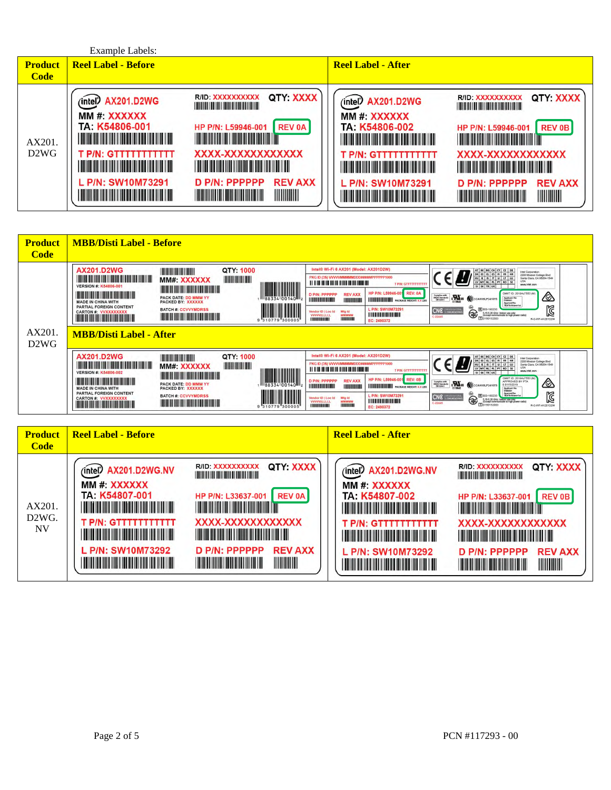|                | <b>Example Labels:</b>                                                                                                                                                                                                                                                                                                                                                                                                                                                                   |                                                                                                                                                                                                                                                                                                                                                                                                                                                                                                                                                                |                                                                                                                                                                                                                                                                                                                       |                                                                                                                                                                                                                                                                                                                                                                                                                                                                                                                                                                                                                                                                                 |
|----------------|------------------------------------------------------------------------------------------------------------------------------------------------------------------------------------------------------------------------------------------------------------------------------------------------------------------------------------------------------------------------------------------------------------------------------------------------------------------------------------------|----------------------------------------------------------------------------------------------------------------------------------------------------------------------------------------------------------------------------------------------------------------------------------------------------------------------------------------------------------------------------------------------------------------------------------------------------------------------------------------------------------------------------------------------------------------|-----------------------------------------------------------------------------------------------------------------------------------------------------------------------------------------------------------------------------------------------------------------------------------------------------------------------|---------------------------------------------------------------------------------------------------------------------------------------------------------------------------------------------------------------------------------------------------------------------------------------------------------------------------------------------------------------------------------------------------------------------------------------------------------------------------------------------------------------------------------------------------------------------------------------------------------------------------------------------------------------------------------|
| <b>Product</b> | <b>Reel Label - Before</b>                                                                                                                                                                                                                                                                                                                                                                                                                                                               |                                                                                                                                                                                                                                                                                                                                                                                                                                                                                                                                                                | <b>Reel Label - After</b>                                                                                                                                                                                                                                                                                             |                                                                                                                                                                                                                                                                                                                                                                                                                                                                                                                                                                                                                                                                                 |
| <b>Code</b>    |                                                                                                                                                                                                                                                                                                                                                                                                                                                                                          |                                                                                                                                                                                                                                                                                                                                                                                                                                                                                                                                                                |                                                                                                                                                                                                                                                                                                                       |                                                                                                                                                                                                                                                                                                                                                                                                                                                                                                                                                                                                                                                                                 |
| AX201.<br>D2WG | (intel <sup>*</sup> ) AX201.D2WG<br>MM #: XXXXXX<br>TA: K54806-001<br><u> Harry Harry Harry Harry Harry Harry Harry Harry Harry Harry Harry Harry Harry Harry Harry Harry Harry Harry H</u><br>T P/N: GTTTTTTTTTTT<br><u> Harry Harry Harry Harry Harry Harry Harry Harry Harry Harry Harry Harry Harry Harry Harry Harry Harry Harry H</u><br>L P/N: SW10M73291<br><u> III di kacamatan ing Kabupatèn III di Kabupatèn III di Kabupatèn III di Kabupatèn III di Kabupatèn III di Ka</u> | QTY XXXX<br>R/ID XXXXXXXXXX<br><u> Harrison de la contrada de la contrada de la contrada de la contrada de la contrada de la contrada de la con</u><br><b>REV 0A</b><br>HP P/N: L59946-001<br><u> 1999 - Johann Maria Maria Maria Maria Maria Maria Maria Maria Maria Maria Maria Maria Maria Maria Maria Mari</u><br>XXXX-XXXXXXXXXXXX<br><u> 1999 - Andrew Maria Maria Maria A</u><br>D P/N: PPPPPP<br><b>REV AXX</b><br>IIIIIIIIII<br><u> Harry Harry Harry Harry Harry Harry Harry Harry Harry Harry Harry Harry Harry Harry Harry Harry Harry Harry H</u> | (intel) AX201.D2WG<br>MM #: XXXXXX<br>TA: K54806-002<br><u> 1999 - Andrew Maria Barat (</u><br><b>T P/N: GTTTTTTTTTTTT</b><br><u> 1999 - Johann Maria Maria Maria Maria Maria Maria Maria Maria Maria Maria Maria Maria Maria Maria Maria Mari</u><br>L P/N: SW10M73291<br><u> 1999 - Johann Barbara, martin basa</u> | QTY: XXXX<br>R/ID XXXXXXXXXX<br><u> Indiana de la contrada de la contrada de la con</u><br><b>REV 0B</b><br>HP P/N: L59946-001<br><u> Harris Harris Harris Harris Harris Harris Harris Harris Harris Harris Harris Harris Harris Harris Harris Har</u><br>XXXX-XXXXXXXXXXXX<br><u>THE REPORT OF STATE OF STATE OF STATE OF STATE OF STATE OF STATE OF STATE OF STATE OF STATE OF STATE OF STATE </u><br>D P/N: PPPPPP<br><b>REV AXX</b><br><u> Hill Harry Harry Harry Harry Harry Harry Harry Harry Harry Harry Harry Harry Harry Harry Harry Harry Harry Harry Harry Harry Harry Harry Harry Harry Harry Harry Harry Harry Harry Harry Harry Harry Harry Harry Harry Harry</u> |

| <b>Product</b><br><b>Code</b> | <b>MBB/Disti Label - Before</b>                                                                                                                                                                                                                                                                                                                                                                                                                                                                                                                                                                                                                                                                                                                                                                                                                                                                                                                                                                                                                                                                                                                                                                                                                                                                                                                                                                                                                                                                                                                                                                                                                                                                                                                                                                                                                                                                                                                                                                                                                                                                                                      |  |
|-------------------------------|--------------------------------------------------------------------------------------------------------------------------------------------------------------------------------------------------------------------------------------------------------------------------------------------------------------------------------------------------------------------------------------------------------------------------------------------------------------------------------------------------------------------------------------------------------------------------------------------------------------------------------------------------------------------------------------------------------------------------------------------------------------------------------------------------------------------------------------------------------------------------------------------------------------------------------------------------------------------------------------------------------------------------------------------------------------------------------------------------------------------------------------------------------------------------------------------------------------------------------------------------------------------------------------------------------------------------------------------------------------------------------------------------------------------------------------------------------------------------------------------------------------------------------------------------------------------------------------------------------------------------------------------------------------------------------------------------------------------------------------------------------------------------------------------------------------------------------------------------------------------------------------------------------------------------------------------------------------------------------------------------------------------------------------------------------------------------------------------------------------------------------------|--|
| AX201.                        | Intel® Wi-Fi 6 AX201 (Model: AX201D2W)<br>QTY: 1000<br><b>AX201.D2WG</b><br><b><i><u>Property Adding the Contract Of the Contract Of the Contract Of the Contract Of the Contract Of the Contract O</u></i></b><br>AT BE BG CH CY CZ DE<br>Intel Corporation<br>2200 Masion College Blvd<br>Santa Clara, CA 95054-1549<br>DKEELS FIFR HR<br>PKG ID (3S) VVVVVMMMMMDDD#####PPPPPPP1000<br>$HU$ IE $B$ $T$ $U$ $T$ $U$<br>MM#: XXXXXX<br>1184<br>LV MT NL PL PT RO SE<br><b>TPM: GTITTITTITTI</b><br>www.intel.com<br><b>VERSION #: K54806-001</b><br><b>The Common Section 1989</b><br>HP P/N: L59946-001 REV: 0A<br>CMIIT ID 2018AJ7653 (M)<br><b>REV AXX</b><br>D PIN: PPPPPP<br>Complian with<br>IMDA Standards<br>CM 02641<br>$\mathbf{R}$<br>丝<br>PACK DATE: DD MMM YY<br><b>Applicant No:</b><br>1188334 00140<br><b>A LONGO BOLIVININI</b><br><b>INTENNIUM PACKAGE WEIGHT XXLB</b><br><u> INTERNATION</u><br>compa-<br><b>MADE IN CHINA WITH</b><br><b>PACKED BY: XXXXXX</b><br>Approval No.<br>TRAITA Edgeworth p<br>PARTIAL FOREIGN CONTENT<br>N<br>e<br>C<br>L P/N: SW10M73291<br>图003-180233<br><b>BATCH #: CCVVYMDRSS</b><br>CNC <b>CONCRETE</b><br>Mfg ld<br><b>CARTON #: VVXXXXXXXX</b><br>Vendor ID I Loc Id<br>5 15-5.35 GHz. Indoor use only<br>Except communicate to high power radio)<br>[1] D150152003<br><b>THE REAL PROPERTY OF A</b><br><b>The Community of the Community</b><br><b>WWWILLLLL</b><br>ммммм<br><u> Han de Barbara de la provincia de la provincia de la provincia de la provincia de la provincia de la provincia</u><br>$C-22445$<br><b>HUILDING</b><br><b>CIRROTTERING</b><br>R-C-INT-AX201D2W<br>9 310779 30000<br>EC: 2490372<br><b>MBB/Disti Label - After</b>                                                                                                                                                                                                                                                                                                                                                                                                                             |  |
| D <sub>2</sub> W <sub>G</sub> | Intel® Wi-Fi 6 AX201 (Model: AX201D2W)<br>QTY: 1000<br><b>AX201.D2WG</b><br><b><i><u>Property September 2004</u></i></b><br>AT BE BG CH CY CZ DE<br>Intel Corporation<br>2200 Masion College Blvd<br>Santa Clara, CA 95054-1549<br>DKEE ELES FI FR HR<br>PKG ID (3S) WWWMMMMMDDD#####PPPPPP1000<br>$u$ <sub>u</sub><br>HU IE IS IT<br>MM#: XXXXXX<br>LV MT NL PL PT RO SE<br>$\left\  \left\  \left\  \left[ \left[ \left[ \left[ \left[ \left[ \left[ \left[ \left] \right] \right] \right] \right] \right] \right] \right] \right\  \right\  \right\ _{2} \right\ _{2}$<br><b>TPM: GELEFITITITI</b><br>www.intel.com<br>VERSION #: K54806-002<br>SI SK TR UK<br><u> The Community of the Community of the Community of the Community of the Community of the Community of the Community of the Community of the Community of the Community of the Community of the Community of the Community of</u><br>CMIT ID: 2018AJ7553 (M)<br>HP P/N: L59946-001 REV: 0B<br><b>The Common Service Common Service</b><br><b>REV AXX</b><br>D P/N: PPPPPP<br><br>APPROVED BY PTA<br>Complian with<br>IMDA Standards<br>CM 02641<br>EM ((CCAHISLP3410TS<br>PACK DATE: DD MMM YY<br>9 9115/2019<br><b><i><u>LIBERED LIBER</u></i></b><br><b>ILLUILLI PACKAGE WEIGHT XXLBS</b><br><b>ITTI ANTILLE</b><br><b>MADE IN CHINA WITH</b><br>PACKED BY: XXXXXX<br>Applicant No.<br>Desponen<br>PARTIAL FOREIGN CONTENT<br>N<br>Approval No.<br>L P/N: SW10M73291<br>R 003-180233<br><b>BATCH #: CCVVYMDRSS</b><br>CNC <b>External</b><br>€<br>Vendor ID   Loc Id<br><b>CARTON #: VVXXXXXXXX</b><br>Mfg ld<br>5.16-6.36 GHz. Indoor use only<br>(Except communicate to high power radio)<br><b>THE REPORT OF STATE</b><br><b>Contract Contract Contract Contract Contract Contract Contract Contract Contract Contract Contract Contract Contract Contract Contract Contract Contract Contract Contract Contract Contract Contract Contract Contract Contr</b><br><b>WWWILLLLL</b><br>ммммм<br><u> Indiana da ban dan bandar da ban dan banda da</u><br>$C-22445$<br>TD180132003<br><b>HILLING</b><br><b>CONTRACTOR</b><br>R-C-INT-AX201D2W<br>EC: 2490372 |  |

| <b>Product</b><br><b>Code</b>   | <b>Reel Label - Before</b>                                                                                                                                                                                                                                                                                                                                                                                                                                                                                                                                                                                                                                                                                                                                                                                                               | <b>Reel Label - After</b>                                                                                                                                                                                                                                                                                                                                                                                                                                                                                                                                                                                                                                                                                                                                                                                                   |
|---------------------------------|------------------------------------------------------------------------------------------------------------------------------------------------------------------------------------------------------------------------------------------------------------------------------------------------------------------------------------------------------------------------------------------------------------------------------------------------------------------------------------------------------------------------------------------------------------------------------------------------------------------------------------------------------------------------------------------------------------------------------------------------------------------------------------------------------------------------------------------|-----------------------------------------------------------------------------------------------------------------------------------------------------------------------------------------------------------------------------------------------------------------------------------------------------------------------------------------------------------------------------------------------------------------------------------------------------------------------------------------------------------------------------------------------------------------------------------------------------------------------------------------------------------------------------------------------------------------------------------------------------------------------------------------------------------------------------|
| AX201.<br>$D2WG$ .<br><b>NV</b> | QTY XXXX<br>R/ID: XXXXXXXXXX<br>(intel) AX201.D2WG.NV<br><u> 1999 - John Harry Barnett, mars et al.</u><br>MM #: XXXXXX<br>TA: K54807-001<br><b>REV 0A</b><br>HP P/N: L33637-001<br><u> Harrison Maria Andrew Maria A</u><br><b>The Community of Community</b><br>XXXX-XXXXXXXXXXXX<br><b>T P/N: GTTTTTTTTTTTT</b><br><u> 1999 - Johann Maria Baratta, mart</u><br><b>THE REAL PROPERTY OF PERSONS ASSESSED</b><br>L P/N: SW10M73292<br>D P/N: PPPPPP<br><b>REV AXX</b><br><u> 1999 - Andrew Maria Maria Alexandria de Article de la provincia de la provincia de la provincia de la provinc</u><br><u> The Community of the Community of the Community of the Community of the Community of the Community of the Community of the Community of the Community of the Community of the Community of the Community of the Community of</u> | QTY: XXXX<br>R/ID: XXXXXXXXXX<br>(intel) AX201.D2WG.NV<br><u> I de la componentación de la componentación de la componentación de la componentación de la componentación de</u><br>MM #: XXXXXX<br>TA: K54807-002<br><b>REV 0B</b><br>HP P/N: L33637-001<br><u> 1999 - Johann Barbara, martin b</u><br><u> Alban Maria Maria Maria Maria Maria </u><br>XXXX-XXXXXXXXXXXX<br><b>T P/N: GTTTTTTTTTTTT</b><br><u> 1999 - Johann Barbara, martin bashka</u><br><u> Album Maria Maria Maria Maria Maria Maria Maria Maria Maria Maria Maria Maria Maria Maria Maria Maria Maria </u><br>L P/N: SW10M73292<br><b>REV AXX</b><br>D P/N: PPPPPP<br><u> 1999 - Johann Maria Maria Maria Maria Maria Maria Maria Maria Maria Maria Maria Maria Maria Maria Maria Mari</u><br>IIIIIIIIIII<br><u> 1999 - John Harrison, mars et al.</u> |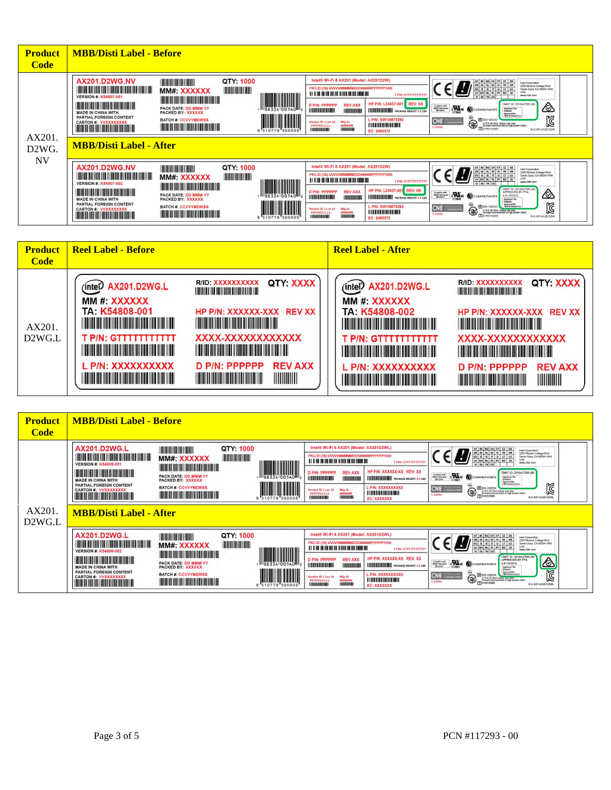| <b>Product</b><br><b>Code</b>          | <b>MBB/Disti Label - Before</b>                                                                                                                                                                                                                                                                                                                                                                                                                                                                                                                                                                                                                                                                                                                                                                                                                                                                                                                                                                                                                                                                                                                                                                                                                                                                                                                                                                                                                                                                                                                                                                                                                                                                                                                                                                                                                                                                                                                                                                                                                                                                                                                                                                                                                                                                                                                                                                                                                                |
|----------------------------------------|----------------------------------------------------------------------------------------------------------------------------------------------------------------------------------------------------------------------------------------------------------------------------------------------------------------------------------------------------------------------------------------------------------------------------------------------------------------------------------------------------------------------------------------------------------------------------------------------------------------------------------------------------------------------------------------------------------------------------------------------------------------------------------------------------------------------------------------------------------------------------------------------------------------------------------------------------------------------------------------------------------------------------------------------------------------------------------------------------------------------------------------------------------------------------------------------------------------------------------------------------------------------------------------------------------------------------------------------------------------------------------------------------------------------------------------------------------------------------------------------------------------------------------------------------------------------------------------------------------------------------------------------------------------------------------------------------------------------------------------------------------------------------------------------------------------------------------------------------------------------------------------------------------------------------------------------------------------------------------------------------------------------------------------------------------------------------------------------------------------------------------------------------------------------------------------------------------------------------------------------------------------------------------------------------------------------------------------------------------------------------------------------------------------------------------------------------------------|
| AX201<br>D <sub>2</sub> W <sub>G</sub> | Intel® Wi-Fi 6 AX201 (Model: AX201D2W)<br><b>AX201.D2WG.NV</b><br>QTY: 1000<br><b><i><u>All College District College District College District College District College District College District College District College District College District College District College District College District College Dis</u></i></b><br>AT BE BG CH CY CZ DE<br>Intel Corporation<br>2200 Masion College Blvd<br>Santa Clara, CA 95054-1549<br>DK EE EL ES FI FR HR<br>PKG ID (3S) WWW.MMMMMDDD#####PPPPPP1000<br><u> HERBERT HERBERT EIN DER EIN DER EINE EIN DER EINE EIN DER EINE EIN DER EINE EIN DER EINE EIN DER EINE EIN DER E</u><br>$HU$ IE IS $T$ U IT LU<br>MM#: XXXXXX<br><b>USA</b><br>LV MT NL PL PT RO SE<br><u> 111   112   113   113   113   113   113   113   113   113   113   11</u><br><b>TPM: GTITTITTITTI</b><br>$\begin{tabular}{ c c c c } \hline & \multicolumn{1}{ c }{\textbf{  }}{\textbf{  }}{\textbf{  }}{\textbf{  }}{\textbf{  }}{\textbf{  }}{\textbf{  }}{\textbf{  }}{\textbf{  }}{\textbf{  }}{\textbf{  }}{\textbf{  }}{\textbf{  }}{\textbf{  }}{\textbf{  }}{\textbf{  }}{\textbf{  }}{\textbf{  }}{\textbf{  }}{\textbf{  }}{\textbf{  }}{\textbf{  }}{\textbf{  }}{\textbf{  }}{\textbf{  }}{\textbf{  }}{\textbf{  }}{\textbf{  }}{\textbf{  }}{\textbf{  }}{\textbf{  }}{\textbf$<br>www.intel.com<br><b>VERSION #: K54807-001</b><br>HP P/N: L33637-001 REV: 0A<br><u> Harrison de la provincia de la provincia de la provincia de la provincia de la provincia de la provincia de</u><br>CMIT ID 2018AJ7553 (M)<br>D P/N: PPPPPP<br><b>REV AXX</b><br><br>Complies with<br>IMDA Standards<br>Oil 02541<br><b>ENER MICCANNELPIANTS</b><br>PACK DATE: DD MMM YY<br><b>Applicant No:</b><br>Common<br><b><i>LIBRARY COMMI</i></b><br><b>INTENNIUM PACKAGE WEIGHT: XX LBS</b><br><b>THERMAN</b><br><b>MADE IN CHINA WITH</b><br>PACKED BY: XXXXXX<br>Approval No.<br>TRAIN-Brimerika<br>PARTIAL FOREIGN CONTENT<br>Ø<br>L P/N: SW10M73292<br><b>BATCH #: CCVVYMDRSS</b><br>CNC <b>CONCRETE</b><br>R 003-180233<br>€<br><b>CARTON #: VVXXXXXXX</b><br>Vendor ID   Loc Id<br>Mfg Id<br>5, 15-5.35 GHz: Indoor use only<br>(Except communicate to high power radio)<br><b>MMMMMM</b><br><b>WWWILLLLL</b><br><u> Timber and Timber and Timber and Timber</u><br>$C-22445$<br>TTD190132003<br><b>HEILING</b><br><b>FIREFERIERENE</b><br>R-C-INT-AX201D2W<br>310779<br>"300005<br>EC: 2490372<br><b>MBB/Disti Label - After</b> |
| <b>NV</b>                              | Intel® Wi-Fi 6 AX201 (Model: AX201D2W)<br><b>AX201.D2WG.NV</b><br>QTY: 1000<br><b><i><u>All College Districts and the State District Districts and the State District District District District District District District District District District District District District District District District Distri</u></i></b><br>AT BE BG CH CY CZ DE<br>Intel Corporation<br>2200 Masion College Blvd<br>Santa Clara, CA 95054-1549<br>DK EE EL ES FI FR HR<br>PKG ID (3S) WWW.MMMMMDDD#####PPPPPP1000<br><u> Harry Harry Harry Harry Harry Harry Harry Harry Harry Harry Harry Harry Harry Harry Harry Harry Harry Harry Harry Harry Harry Harry Harry Harry Harry Harry Harry Harry Harry Harry Harry Harry Harry Harry Harry Harry Harr</u><br>HUIE IS IT U LT LU<br>MM#: XXXXXX<br><b>USA</b><br>LV MT NL PL PT RO SE<br><b>TPM: GTTTTTTTTTTT</b><br>www.intel.com<br>SI SK TRUK<br>VERSION #: K54807-002<br><u> Karl III ya kutoka mwaka wa 1999 ya kutoka mwaka wa 1999 ya kutoka mwaka wa 1999 ya kutoka mwaka wa 1999 ya k</u><br>CMIT ID: 2016AJ7653 (M)<br>HP P/N: L33637-001 REV: 0B<br><b>THE REAL PROPERTY AND REAL PROPERTY</b><br>D P/N: PPPPPP<br><b>REV AXX</b><br>APPROVED BY PTA<br>⚠<br>Compliar with<br>IMDA Standards<br>CW 02541<br><b>EMINE MICCAHISLP3410TS</b><br>PACK DATE: DD MMM YY<br>9.9115/2019<br><b><i><u>ALAMANIAN BILIMIN DI BILIMIN DI BILIMIN DI BILIMIN DI BILIMIN DI BILIMIN DI BILIMIN DI BILIMIN DI</u></i></b> BILIMIN DI<br><b>IN THE MINIMUM PACKAGE WEIGHT XX LBS</b><br><b>THERMANY</b><br><b>MADE IN CHINA WITH</b><br>PACKED BY: XXXXXX<br>Applicant No.<br>Domesti<br>PARTIAL FOREIGN CONTENT<br>Ø<br>Approval No.<br>TRA/TA-B/resc7/12<br>L P/N: SW10M73292<br><b>BATCH #: CCVVYMDRSS</b><br>CNC <b>CONCRETE</b><br>R 003-180233<br>€<br>Mfg ld<br>Vendor ID   Loc Id<br><b>CARTON #: VVXXXXXXX</b><br>5,15-5.35 GHz. Indoor use only<br>(Except communicate to high power radio)<br><b>THERMANISME IN</b><br><b>WWWILLLLL</b><br><b>MMMMMM</b><br><b>The Common Section And Section</b><br>$C-22445$<br>TTD:80132003<br><b>INTERNATIONAL</b><br><b>HEILING</b><br>R-C-INT-AX201D2W<br>310779 30000<br>EC: 2490372                                                                                                                                                                                                                                                                                       |

| <b>Product</b><br><b>Code</b> | <b>Reel Label - Before</b>                                                                                                                                                                                                                                                                                                                                                                                                                                                                                                                                                                                                                                                                                                | <b>Reel Label - After</b>                                                                                                                                                                                                                                                                                                                                                                                                                                                                                                                                                                                                                                                                                                                                                                                                                                                                       |
|-------------------------------|---------------------------------------------------------------------------------------------------------------------------------------------------------------------------------------------------------------------------------------------------------------------------------------------------------------------------------------------------------------------------------------------------------------------------------------------------------------------------------------------------------------------------------------------------------------------------------------------------------------------------------------------------------------------------------------------------------------------------|-------------------------------------------------------------------------------------------------------------------------------------------------------------------------------------------------------------------------------------------------------------------------------------------------------------------------------------------------------------------------------------------------------------------------------------------------------------------------------------------------------------------------------------------------------------------------------------------------------------------------------------------------------------------------------------------------------------------------------------------------------------------------------------------------------------------------------------------------------------------------------------------------|
| AX201.<br>D2WG.L              | QTY: XXXX<br>R/ID: XXXXXXXXXX<br>(intel) AX201.D2WG.L<br><b>THE REAL PROPERTY AND REAL PROPERTY</b><br>MM #: XXXXXX<br>TA: K54808-001<br>HP P/N: XXXXXX-XXX REV XX<br><u> 1999 - Johann Maria Baratta, ma</u><br><u> Harry Harry Harry Harry Harry Harry Harry Harry Harry Harry Harry Harry Harry Harry Harry Harry Harry Harry H</u><br>XXXX-XXXXXXXXXXXX<br><b>T P/N: GTTTTTTTTTTTT</b><br><u> 11 mars - Andrew Mars Brown, mars and an</u><br><u> 1999 - Johann Maria Maria Barat (</u><br>L P/N: XXXXXXXXXX<br><b>REV AXX</b><br>D P/N: PPPPPP<br><u> 1999 - Johann Maria Maria Barat (</u><br><u> Harry Harry Harry Harry Harry Harry Harry Harry Harry Harry Harry Harry Harry Harry Harry Harry Harry Harry H</u> | QTY: XXXX<br>R/ID XXXXXXXXXX<br>(intel) AX201.D2WG.L<br><b>THE REAL PROPERTY AND REAL PROPERTY</b><br>MM #: XXXXXX<br>TA: K54808-002<br>HP P/N: XXXXXX-XXX REV XX<br><u> 1999 - Johann Barbara, martin bashka</u><br><u>The Communication of the Communication of the Communication of the Communication of the Communication of the Co</u><br>XXXX-XXXXXXXXXXXX<br><b>T P/N: GTTTTTTTTTTTT</b><br><u> 1999 - Johann Maria Maria Maria Maria Maria Maria Maria Maria Maria Maria Maria Maria Maria Maria Maria Mari</u><br><u> 1999 - Johann Barbara, martin basa</u><br>L P/N: XXXXXXXXXX<br><b>REV AXX</b><br>D P/N: PPPPPP<br>IIIIIIIIIII<br><u> 1999 - Andrew Maria Maria Maria Maria Maria Maria Maria Maria Maria Maria Maria Maria Maria Maria Maria Mari</u><br><u> The Communication of the Communication of the Communication of the Communication of the Communication of the Co</u> |

| <b>Product</b><br><b>Code</b>             | <b>MBB/Disti Label - Before</b>                                                                                                                                                                                                                                                                                                                                                                                                                            |                                                                                                                                                                                                                                                                                                                                                                                    |           |                                                                                                                                                                                                                                                                                                                                                                                                                                                                                                         |                                                                                                                                                                                                                                                                                                                    |                                                                     |                                                                                                                                                                                          |                                                                                                                                                                                                                                                                                                                                                                                                                                                                                                                                                                                                                                                                                                                                                                                                                                                                                                                                                         |
|-------------------------------------------|------------------------------------------------------------------------------------------------------------------------------------------------------------------------------------------------------------------------------------------------------------------------------------------------------------------------------------------------------------------------------------------------------------------------------------------------------------|------------------------------------------------------------------------------------------------------------------------------------------------------------------------------------------------------------------------------------------------------------------------------------------------------------------------------------------------------------------------------------|-----------|---------------------------------------------------------------------------------------------------------------------------------------------------------------------------------------------------------------------------------------------------------------------------------------------------------------------------------------------------------------------------------------------------------------------------------------------------------------------------------------------------------|--------------------------------------------------------------------------------------------------------------------------------------------------------------------------------------------------------------------------------------------------------------------------------------------------------------------|---------------------------------------------------------------------|------------------------------------------------------------------------------------------------------------------------------------------------------------------------------------------|---------------------------------------------------------------------------------------------------------------------------------------------------------------------------------------------------------------------------------------------------------------------------------------------------------------------------------------------------------------------------------------------------------------------------------------------------------------------------------------------------------------------------------------------------------------------------------------------------------------------------------------------------------------------------------------------------------------------------------------------------------------------------------------------------------------------------------------------------------------------------------------------------------------------------------------------------------|
| AX201.<br>D <sub>2</sub> W <sub>G</sub> L | <b>AX201.D2WG.L</b><br><u> III di kacamatan ing Kabupatèn III di kacamatan III di kacamatan III di kacamatan III di kacamatan III di kacamatan III di kacamatan III di kacamatan III di kacamatan III di kacamatan III di kacamatan III di kacamatan II</u><br><b>VERSION #: K54808-001</b><br><b>MADE IN CHINA WITH</b><br>PARTIAL FOREIGN CONTENT<br><b>CARTON #: VVXXXXXXXX</b><br><b>THE REAL PROPERTY OF PERSON</b><br><b>MBB/Disti Label - After</b> | MM#: XXXXXX<br><b>The Common Section And Section</b><br>PACK DATE: DD MMM YY<br><b>PACKED BY: XXXXXX</b><br><b>BATCH #: CCVVYMDRSS</b><br><b>The Committee of the Committee of the Committee of the Committee of the Committee</b>                                                                                                                                                 | QTY: 1000 | 1188334 00140<br>"310779"30000                                                                                                                                                                                                                                                                                                                                                                                                                                                                          | Intel® Wi-Fi 6 AX201 (Model: AX201D2WL)<br>PKG ID (3S) VVVVVMMMMMDDD#####PPPPPPP1000<br><u> 111   112   113   113   113   113   113   113   113   113   113   11</u><br>D P/N: PPPPPP<br><b>INTERNATIONAL</b><br>Vendor ID   Loc Id<br><b>VVVVILLLLL</b><br>1111111111111                                          | <b>REV AXX</b><br>INTINININ<br>Mfg Id<br>MMMMMM<br><b>ISBOARDER</b> | <b>T P/N: GTITTITITITI</b><br>HP P/N: XXXXXX-XX REV: XX<br><b>HILLILLILLILLI</b> PACKAGE WEIGHT: XXLBS<br>L P/N: XXXXXXXXXX<br><b>LIBRARY MARKET</b><br>EC: XXXXXXX                      | AT BE BG CH CY CZ DE<br>Intel Corporation<br>2200 Mission College Blvd<br>DKEELS FIFR HR<br>HU IE IS IT U LT LU<br>Santa Clara, CA 95054-1549<br>LISA<br>LV MT NL PL PT RO SE<br>www.intel.com<br>SI SK TRUK<br>CMIT ID: 2019AJ7569 (M)<br>$\sum_{\text{max}}$<br>Complexwith<br>IMDA Standards<br>EM 02541<br>(CCAHISLP4730T2<br><b>Applicant No.</b><br>Approval No:<br>TRA/TA-R/072016<br>M<br>CNC <b>CONTROL</b><br>R 003-180234<br>€<br>515-515 GHz Indoor use only<br>Except communicate to high power radio)<br>TO 1930135003<br>$C-22504$<br>R-C-INT-AX201D2WL                                                                                                                                                                                                                                                                                                                                                                                  |
|                                           | AX201.D2WG.L<br><b>VERSION #: K54808-002</b><br><b>MADE IN CHINA WITH</b><br>PARTIAL FOREIGN CONTENT<br><b>CARTON #: VVXXXXXXXX</b><br><b>The Committee of the Committee of the Committee of the Committee of the Committee of the Committee of the Comm</b>                                                                                                                                                                                               | <b>THE REAL PROPERTY AND IN</b><br>MM# XXXXXX<br><u> Harris Harris Harris Harris Harris Harris Harris Harris Harris Harris Harris Harris Harris Harris Harris Har</u><br>PACK DATE: DD MMM YY<br><b>PACKED BY: XXXXXX</b><br><b>BATCH #: CCVVYMDRSS</b><br><u> Linda ka masa sa kasang pangangan ng panganggang panganggang panganggang panganggang panggang panggang panggang</u> | QTY: 1000 | $\begin{tabular}{ c c c c } \hline & \multicolumn{1}{ c }{\textbf{  }}{\textbf{  }}{\textbf{  }}{\textbf{  }}{\textbf{  }}{\textbf{  }}{\textbf{  }}{\textbf{  }}{\textbf{  }}{\textbf{  }}{\textbf{  }}{\textbf{  }}{\textbf{  }}{\textbf{  }}{\textbf{  }}{\textbf{  }}{\textbf{  }}{\textbf{  }}{\textbf{  }}{\textbf{  }}{\textbf{  }}{\textbf{  }}{\textbf{  }}{\textbf{  }}{\textbf{  }}{\textbf{  }}{\textbf{  }}{\textbf{  }}{\textbf{  }}{\textbf{  }}{\textbf{  }}{\textbf$<br>9 310779 30000 | Intel® Wi-Fi 6 AX201 (Model: AX201D2WL)<br>PKG ID (3S) VVVVVMMMMMDDD#####PPPPPPP1000<br><u> 111   112   113   114   115   115   116   116   116   116   116   116   116   116   116   116   116   116   </u><br>D P/N: PPPPPP<br><b>INTERNATIONAL</b><br>Vendor ID   Loc Id<br><b>VVVVILLLLL</b><br>11003030010000 | <b>REV AXX</b><br><b>INTOINERED</b><br>Mfg Id<br>MMMMMM<br>ISBOARD  | T P/N: GTTTTTTTTTTT<br>HP P/N: XXXXXX-XX REV: XX<br><b>HILLILILILILILI</b> PACKAGE WEIGHT: XXLBS<br><b>L P/N: XXXXXXXXXX</b><br><u> I I II II II II III II II III II </u><br>EC: XXXXXXX | $\begin{array}{ c c c c c c } \hline \text{AT} & \text{BE} & \text{BG} & \text{CH} & \text{CY} & \text{C2} & \text{DE} \\ \hline \text{DK} & \text{EE} & \text{EL} & \text{ES} & \text{FI} & \text{FR} & \text{HR} \\ \hline \text{HU} & \text{IE} & \text{IS} & \text{IT} & \text{U} & \text{UT} & \text{IU} \\ \hline \text{LV} & \text{MT} & \text{NL} & \text{PL} & \text{PT} & \text{RO} & \text{SE} \\ \hline \text{SI} & \text{SK} & \text{TR}$<br>Intel Corporation<br>2200 Mission College Blvd<br>Sarta Clara, CA 95054-1549<br><b>LISA</b><br>www.intel.com<br>CMIT ID: 2016AJ7568 (M)<br><b>AR</b><br>CHAIN ((CCAHISLP4730T2<br>Complias with<br>IMDA Standards<br>IM 02641<br>9.9110/2019<br><b>Applicant No:</b><br>Closoco1<br>Approval No.<br>TRA/TA-D/5720'18<br>CNC <b>CONCRETE</b><br>R 003-180234<br>€<br>5 15 5 35 GHz Indoor use only<br>(Except communicate to high power radio)<br>C-22504<br>FT0180135003<br>R-C-INT-AX201D2WL |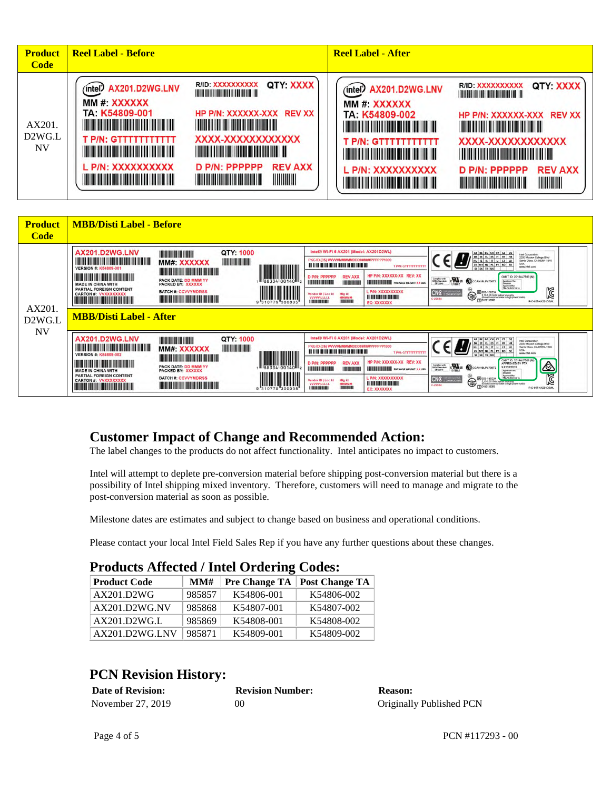| <b>Product</b><br><b>Code</b> | <b>Reel Label - Before</b>                                                                                                                                                                                                                                                                                                                                                                                                                                                                                                                                                                                                                                                                                                                                                             | <b>Reel Label - After</b>                                                                                                                                                                                                                                                                                                                                                                                                                                                                                                                                                                                                                                                                                                                    |
|-------------------------------|----------------------------------------------------------------------------------------------------------------------------------------------------------------------------------------------------------------------------------------------------------------------------------------------------------------------------------------------------------------------------------------------------------------------------------------------------------------------------------------------------------------------------------------------------------------------------------------------------------------------------------------------------------------------------------------------------------------------------------------------------------------------------------------|----------------------------------------------------------------------------------------------------------------------------------------------------------------------------------------------------------------------------------------------------------------------------------------------------------------------------------------------------------------------------------------------------------------------------------------------------------------------------------------------------------------------------------------------------------------------------------------------------------------------------------------------------------------------------------------------------------------------------------------------|
| AX201.<br>D2WG.L<br><b>NV</b> | QTY: XXXX<br>R/ID: XXXXXXXXXX<br>(intel) AX201.D2WG.LNV<br>MM #: XXXXXX<br>TA: K54809-001<br>HP P/N: XXXXXX-XXX REV XX<br><u> 1999 - Johann Barbara, martin bashka</u><br><u> 1999 - Johann Maria Maria Alexandria de Barca</u><br>XXXX-XXXXXXXXXXXX<br><b>T P/N: GTTTTTTTTTTTT</b><br><u> 1999 - Johann Maria Maria Maria Maria Maria Maria Maria Maria Maria Maria Maria Maria Maria Maria Maria Mari</u><br><u>TITULIT DILI ITI DILI BULGHA DILI DILI BULGHA DILI BULGHA DILI BULGHA DILI BULGHA DILI BULGHA DILI BULGHA DILI</u><br>L P/N: XXXXXXXXXX<br>D P/N: PPPPPP<br><b>REV AXX</b><br><b>HIIIIIIIIIII</b><br><u> 1999 - Johann Maria Maria Maria Maria Maria Maria Maria Maria Maria Maria Maria Maria Maria Maria Maria Mari</u><br><b>The Communist Communist Property</b> | QTY: XXXX<br>R/ID: XXXXXXXXXX<br>(intel) AX201.D2WG.LNV<br>MM #: XXXXXX<br>TA: K54809-002<br>HP P/N: XXXXXX-XXX REV XX<br><u> 1999 - Johann Barbara, martin bashki</u><br><u> 1999 - Johann Barbara, martin b</u><br>XXXX-XXXXXXXXXXXX<br><b>T P/N: GTTTTTTTTTTTT</b><br><u> 1999 - Johann Maria Maria Maria Maria Maria Maria Maria Maria Maria Maria Maria Maria Maria Maria Maria Mari</u><br><u> 1999 - Andrew Maria Maria Maria Maria Maria Maria Maria Maria Maria Maria Maria Maria Maria Maria Maria Mari</u><br>L P/N: XXXXXXXXXX<br><b>REV AXX</b><br>$D$ P/N: PPPPPP<br><u> 1999 - Johann Maria Maria Maria Maria Maria Maria Maria Maria Maria Maria Maria Maria Maria Maria Maria Mari</u><br><b>The Community of Community</b> |

| <b>Product</b><br><b>Code</b>             | <b>MBB/Disti Label - Before</b>                                                                                                                                                                                                                                                                                                                                                                                                                                                                                                                                                                                                                                                                                                                                                                                                                                                                                                                                                                                                                                                                                                                                                                                                                                                                                                                                                                                                                                                                                                                                                                                                                                                              |                                        |
|-------------------------------------------|----------------------------------------------------------------------------------------------------------------------------------------------------------------------------------------------------------------------------------------------------------------------------------------------------------------------------------------------------------------------------------------------------------------------------------------------------------------------------------------------------------------------------------------------------------------------------------------------------------------------------------------------------------------------------------------------------------------------------------------------------------------------------------------------------------------------------------------------------------------------------------------------------------------------------------------------------------------------------------------------------------------------------------------------------------------------------------------------------------------------------------------------------------------------------------------------------------------------------------------------------------------------------------------------------------------------------------------------------------------------------------------------------------------------------------------------------------------------------------------------------------------------------------------------------------------------------------------------------------------------------------------------------------------------------------------------|----------------------------------------|
| AX201.<br>D <sub>2</sub> W <sub>G</sub> L | Intel® Wi-Fi 6 AX201 (Model: AX201D2WL)<br>AX201.D2WG.LNV<br>QTY: 1000<br><b>THE REAL PROPERTY AND IN</b><br>AT BE BG CH CY CZ DE<br>Intel Corporation<br>2200 Mission College Blvd<br><b>DK EE EL ES FI FR HR</b><br>HU IE IS IT LI LT LU<br><u> 1988 - 1989 - 1989 - 1989 - 1989 - 1989 - 1989 - 1989 - 1989 - 1989 - 1989 - 1989 - 1989 - 1989 - 1989 - 19</u><br>PKG ID (3S) VVVVVMMMMMDDD#####PPPPPP1000<br>Santa Clara, CA 95054-1549<br>MM#: XXXXXX<br>LV MT NL PL PT RO SE<br><b>T P/N: GTITTITTITTI</b><br>W<br>www.intel.com<br><b>VERSION #: K54809-001</b><br>SI SK TRUK<br><b>The Common Section And Section</b><br>HP P/N: XXXXXX-XX REV: XX<br><b>The Committee of the Committee of the Committee</b><br>I III III III<br>D P/N: PPPPPP<br><b>REV AXX</b><br>CMIIT ID: 2018AJ7569 (M)<br>Complexwith<br>IMDA Standards<br>EM 02541<br>$\sum_{n=1}^{n}$<br>PACK DATE: DD MMM YY<br><b>ALCCAMISLP4730T2</b><br>Applicant No.<br><b>HILLING HOLL</b><br>INIHININI<br><b>HILLI HILLI PACKAGE WEIGHT: XXLBS</b><br><b>MADE IN CHINA WITH</b><br><b>PACKED BY: XXXXXX</b><br>Cowwood<br>Approval No:<br>TRA/TA-R/6720'14<br>PARTIAL FOREIGN CONTENT<br><b>L P/N: XXXXXXXXXX</b><br><b>BATCH #: CCVVYMDRSS</b><br>CNC <b>CONCRETE</b><br>R 003-180234<br>€<br><b>CARTON #: VVXXXXXXXX</b><br>Mfg Id<br>Vendor ID   Loc Id<br>515-615 GHz Indoor use only<br>Experimentalis to high power radio)<br>Express 0003<br><u> I I II II II II II II II II II II I</u><br><b>The Common Section 1989</b><br><b>VVVVILLLLL</b><br>MMMMMM<br><b>DEL DEL DEL DEL DEL DEL DE</b><br>C-22504<br><b>BUILDING</b><br>100111001081<br>310779 300005<br>EC: XXXXXXX<br><b>MBB/Disti Label - After</b> | Ñ<br>R-C-INT-AX201D2WL                 |
| <b>NV</b>                                 | Intel® Wi-Fi 6 AX201 (Model: AX201D2WL)<br>AX201.D2WG.LNV<br>QTY: 1000<br><b>THE REAL PROPERTY AND IN</b><br>AT BE BG CH CY CZ DE<br>Intel Corporation<br>2200 Mission College Blvd<br>DK EE EL ES FI FR HR<br><u> III di kacamatan ing Kabupatèn III di Kabupatèn III di Kabupatèn III di Kabupatèn III di Kabupatèn III di Kabu</u><br>PKG ID (3S) VVVVVMMMMMDDD#####PPPPPP1000<br><u>a matana a</u><br>Sarta Clara, CA 95054-1549<br><b>HUIE</b> IS IT LUILT LU<br>MM#: XXXXXX<br>USA<br>UV MT NL PL PT RO SE<br><b>TP/N: GTTTTTTTTTTTT</b><br>$\left\  \prod_{0.88334}\right\  \left\  \prod_{0.01400}\right\  \left\  \prod_{0.0140000000}\right\ $<br>www.intel.com<br><b>VERSION #: K54809-002</b><br><b>THE REAL PROPERTY AND REAL PROPERTY</b><br>CMIIT ID: 2016AJ7568 (M<br>HP P/N: XXXXXX-XX REV: XX<br><b>IIII III III</b><br><u> Timo de la provincia de la p</u><br>D P/N: PPPPPP<br><b>REV AXX</b><br>APPROVED BY PTA<br>Constant Conden Constant (CCAHISLP4730T)<br>PACK DATE: DD MMM YY<br>9.9110/2019<br><b>HIMANIHIMA</b><br><b>STEERING</b><br><b>HILLILILILILI PACKAGE WEIGHT: XXLBS</b><br><b>MADE IN CHINA WITH</b><br><b>PACKED BY: XXXXXX</b><br><b>Applicant No</b><br>COINDOO?<br>PARTIAL FOREIGN CONTENT<br>Approvalities:<br>TRA/TA-B/property<br>L PIN: XXXXXXXXXX<br><b>BATCH #: CCVVYMDRSS</b><br>CNC<br>R 003-180234<br>€<br><b>CARTON #: VVXXXXXXXX</b><br>Mfg Id<br>Vendor ID   Loc Id<br>5 15 6 35 GHz Indoor use only<br>(Except communicate to high power radio)<br>I I II II II IN II II II II II II II<br><b>VVVVVILLLLLL</b><br>MMMMMM<br>C-22504<br><b>FTO180133003</b><br>ISBIBADE<br>11013520010803<br>EC: XXXXXXX                               | A<br>$\mathbb{Z}$<br>R-C-INT-AX201D2WL |

#### **Customer Impact of Change and Recommended Action:**

The label changes to the products do not affect functionality. Intel anticipates no impact to customers.

Intel will attempt to deplete pre-conversion material before shipping post-conversion material but there is a possibility of Intel shipping mixed inventory. Therefore, customers will need to manage and migrate to the post-conversion material as soon as possible.

Milestone dates are estimates and subject to change based on business and operational conditions.

Please contact your local Intel Field Sales Rep if you have any further questions about these changes.

#### **Products Affected / Intel Ordering Codes:**

| <b>Product Code</b> | MMH    | <b>Pre Change TA</b> | <b>Post Change TA</b> |
|---------------------|--------|----------------------|-----------------------|
| AX201.D2WG          | 985857 | K54806-001           | K54806-002            |
| AX201.D2WG.NV       | 985868 | K54807-001           | K54807-002            |
| AX201.D2WG.L        | 985869 | K54808-001           | K54808-002            |
| AX201.D2WG.LNV      | 985871 | K54809-001           | K54809-002            |

#### **PCN Revision History:**

| <b>Date of Revision:</b> | <b>Revision Number:</b> | <b>Reason:</b>           |
|--------------------------|-------------------------|--------------------------|
| November 27, 2019        | 00                      | Originally Published PCN |